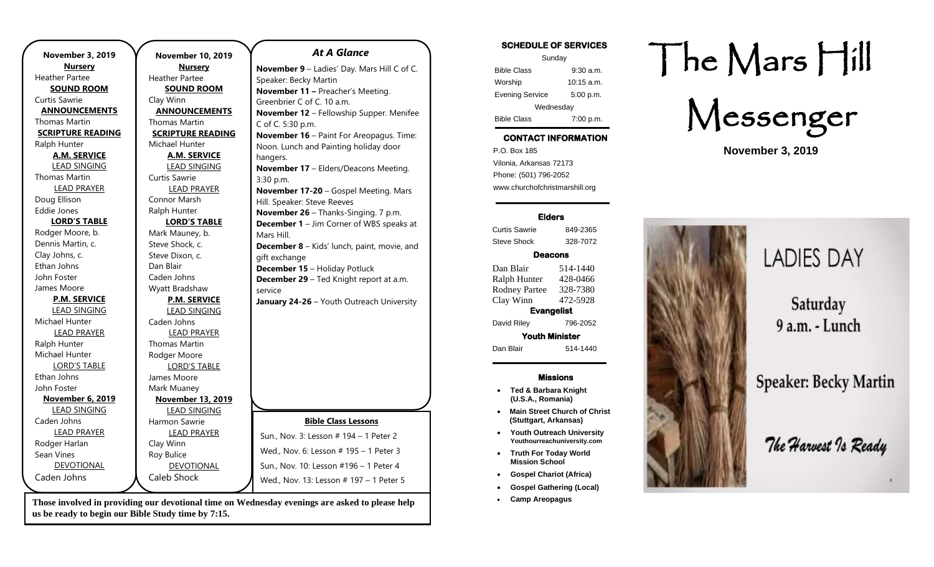| <b>November 3, 2019</b>  | <b>Novemb</b>      |
|--------------------------|--------------------|
| <b>Nursery</b>           | Nu                 |
| <b>Heather Partee</b>    | Heather Pa         |
| <b>SOUND ROOM</b>        | <b>SOUN</b>        |
| <b>Curtis Sawrie</b>     | Clay Winn          |
| <b>ANNOUNCEMENTS</b>     | <b>ANNOUR</b>      |
| Thomas Martin            | Thomas Ma          |
| <b>SCRIPTURE READING</b> | <b>SCRIPTUR</b>    |
| Ralph Hunter             | Michael Hu         |
| <b>A.M. SERVICE</b>      | <u>A.M. :</u>      |
| <b>LEAD SINGING</b>      | LEAD !             |
| <b>Thomas Martin</b>     | Curtis Sawr        |
| <b>LEAD PRAYER</b>       | <b>LEAD</b>        |
| Doug Ellison             | Connor Ma          |
| Eddie Jones              | Ralph Hunt         |
| <b>LORD'S TABLE</b>      | LORD'              |
| Rodger Moore, b.         | Mark Maun          |
| Dennis Martin, c.        | Steve Shocl        |
| Clay Johns, c.           | <b>Steve Dixor</b> |
| Ethan Johns              | Dan Blair          |
| John Foster              | Caden Johr         |
| James Moore              | Wyatt Brad         |
| <b>P.M. SERVICE</b>      | <u>P.M. 9</u>      |
| <b>LEAD SINGING</b>      | LEAD :             |
| Michael Hunter           | Caden Johr         |
| <b>LEAD PRAYER</b>       | <b>LEAD</b>        |
| Ralph Hunter             | Thomas Ma          |
| Michael Hunter           | Rodger Mo          |
| <b>LORD'S TABLE</b>      | <b>LORD</b>        |
| Ethan Johns              | James Moo          |
| John Foster              | Mark Muan          |
| <b>November 6, 2019</b>  | <u>Novemb</u>      |
| <b>LEAD SINGING</b>      | LEAD !             |
| Caden Johns              | Harmon Sa          |
| <b>LEAD PRAYER</b>       | <b>LEAD</b>        |
| Rodger Harlan            | Clay Winn          |
| Sean Vines               | Roy Bulice         |
| <b>DEVOTIONAL</b>        | <b>DEVO</b>        |
| Caden Johns              | Caleb Sho          |

#### **November 10, 2019 Nursery** rtee **D** ROOM **NCEMENTS** artin **READING** Inter **SERVICE** SINGING rie PRAYER arsh ter **S TABLE** ey, b. k, c.  $n_{\rm c}$  c. ns Ishaw **SERVICE** SINGING ns PRAYER artin ore 'S TABLE re ley **November 13, 2019** SINGING wrie PRAYER **TIONAL** Caleb Shock *At A Glance*  **November 9** – Ladies' Day. Mars Hill C of C. Speaker: Becky Martin **November 11 –** Preacher's Meeting. Greenbrier C of C. 10 a.m. **November 12** – Fellowship Supper. Menifee C of C. 5:30 p.m. **November 16** – Paint For Areopagus. Time: Noon. Lunch and Painting holiday door hangers. **November 17** – Elders/Deacons Meeting. 3:30 p.m. **November 17-20** – Gospel Meeting. Mars Hill. Speaker: Steve Reeves **November 26** – Thanks-Singing. 7 p.m. **December 1** – Jim Corner of WBS speaks at Mars Hill. **December 8** – Kids' lunch, paint, movie, and gift exchange **December 15** – Holiday Potluck **December 29** – Ted Knight report at a.m. service **January 24-26** – Youth Outreach University **Bible Class Lessons** Sun., Nov. 3: Lesson # 194 – 1 Peter 2 Wed., Nov. 6: Lesson # 195 – 1 Peter 3 Sun., Nov. 10: Lesson #196 – 1 Peter 4 Wed., Nov. 13: Lesson # 197 - 1 Peter 5

**Those involved in providing our devotional time on Wednesday evenings are asked to please help us be ready to begin our Bible Study time by 7:15.** 

### **SCHEDULE OF SERVICES**

| Sunday                 |              |  |
|------------------------|--------------|--|
| <b>Bible Class</b>     | $9:30$ a.m.  |  |
| Worship                | $10:15$ a.m. |  |
| <b>Evening Service</b> | 5:00 p.m.    |  |
| Wednesday              |              |  |
| <b>Bible Class</b>     | 7:00 p.m.    |  |

# **CONTACT INFORMATION**

. .o. Box 166<br>Vilonia, Arkansas 72173 P.O. Box 185 Phone: (501) 796-2052 www.churchofchristmarshill.org

### **Elders**

Curtis Sawrie 849-2365 Steve Shock 328-7072

## **Deacons**

Dan Blair 514-1440 Ralph Hunter 428-0466 Rodney Partee 328-7380 Clay Winn 472-5928 **Evangelist** 

David Riley 796-2052

**Youth Minister**  Dan Blair 514-1440

### **Missions**

- **Ted & Barbara Knight (U.S.A., Romania)**
- **Main Street Church of Christ (Stuttgart, Arkansas)**
- **Youth Outreach University Youthourreachuniversity.com**
- **Truth For Today World Mission School**
- **Gospel Chariot (Africa)**
- **Gospel Gathering (Local)**
- **Camp Areopagus**

# The Mars Hill

Messenger

**November 3, 2019**



# **LADIES DAY**

Saturday 9 a.m. - Lunch

**Speaker: Becky Martin** 

The Harvest To Ready